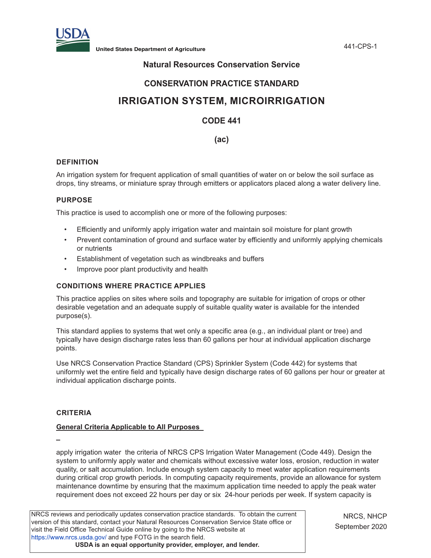

**United States Department of Agriculture** 441-CPS-1

## **Natural Resources Conservation Service**

## **CONSERVATION PRACTICE STANDARD**

# **IRRIGATION SYSTEM, MICROIRRIGATION**

## **CODE 441**

## **(ac)**

## **DEFINITION**

An irrigation system for frequent application of small quantities of water on or below the soil surface as drops, tiny streams, or miniature spray through emitters or applicators placed along a water delivery line.

## **PURPOSE**

This practice is used to accomplish one or more of the following purposes:

- Efficiently and uniformly apply irrigation water and maintain soil moisture for plant growth
- Prevent contamination of ground and surface water by efficiently and uniformly applying chemicals or nutrients
- Establishment of vegetation such as windbreaks and buffers
- Improve poor plant productivity and health

## **CONDITIONS WHERE PRACTICE APPLIES**

This practice applies on sites where soils and topography are suitable for irrigation of crops or other desirable vegetation and an adequate supply of suitable quality water is available for the intended purpose(s).

This standard applies to systems that wet only a specific area (e.g., an individual plant or tree) and typically have design discharge rates less than 60 gallons per hour at individual application discharge points.

Use NRCS Conservation Practice Standard (CPS) Sprinkler System (Code 442) for systems that uniformly wet the entire field and typically have design discharge rates of 60 gallons per hour or greater at individual application discharge points.

## **CRITERIA**

## **General Criteria Applicable to All Purposes**

apply irrigation water the criteria of NRCS CPS Irrigation Water Management (Code 449). Design the system to uniformly apply water and chemicals without excessive water loss, erosion, reduction in water quality, or salt accumulation. Include enough system capacity to meet water application requirements during critical crop growth periods. In computing capacity requirements, provide an allowance for system maintenance downtime by ensuring that the maximum application time needed to apply the peak water requirement does not exceed 22 hours per day or six 24-hour periods per week. If system capacity is

NRCS reviews and periodically updates conservation practice standards. To obtain the current version of this standard, contact your Natural Resources Conservation Service State office or visit the Field Office Technical Guide online by going to the NRCS website at https://www.nrcs.usda.gov/ and type FOTG in the search field. **USDA is an equal opportunity provider, employer, and lender.**

NRCS, NHCP September 2020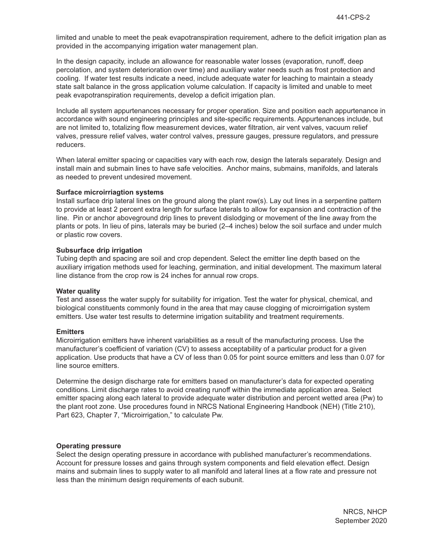limited and unable to meet the peak evapotranspiration requirement, adhere to the deficit irrigation plan as provided in the accompanying irrigation water management plan.

In the design capacity, include an allowance for reasonable water losses (evaporation, runoff, deep percolation, and system deterioration over time) and auxiliary water needs such as frost protection and cooling. If water test results indicate a need, include adequate water for leaching to maintain a steady state salt balance in the gross application volume calculation. If capacity is limited and unable to meet peak evapotranspiration requirements, develop a deficit irrigation plan.

Include all system appurtenances necessary for proper operation. Size and position each appurtenance in accordance with sound engineering principles and site-specific requirements. Appurtenances include, but are not limited to, totalizing flow measurement devices, water filtration, air vent valves, vacuum relief valves, pressure relief valves, water control valves, pressure gauges, pressure regulators, and pressure reducers.

When lateral emitter spacing or capacities vary with each row, design the laterals separately. Design and install main and submain lines to have safe velocities. Anchor mains, submains, manifolds, and laterals as needed to prevent undesired movement.

#### **Surface microirriagtion systems**

Install surface drip lateral lines on the ground along the plant row(s). Lay out lines in a serpentine pattern to provide at least 2 percent extra length for surface laterals to allow for expansion and contraction of the line. Pin or anchor aboveground drip lines to prevent dislodging or movement of the line away from the plants or pots. In lieu of pins, laterals may be buried (2–4 inches) below the soil surface and under mulch or plastic row covers.

#### **Subsurface drip irrigation**

Tubing depth and spacing are soil and crop dependent. Select the emitter line depth based on the auxiliary irrigation methods used for leaching, germination, and initial development. The maximum lateral line distance from the crop row is 24 inches for annual row crops.

#### **Water quality**

Test and assess the water supply for suitability for irrigation. Test the water for physical, chemical, and biological constituents commonly found in the area that may cause clogging of microirrigation system emitters. Use water test results to determine irrigation suitability and treatment requirements.

#### **Emitters**

Microirrigation emitters have inherent variabilities as a result of the manufacturing process. Use the manufacturer's coefficient of variation (CV) to assess acceptability of a particular product for a given application. Use products that have a CV of less than 0.05 for point source emitters and less than 0.07 for line source emitters.

Determine the design discharge rate for emitters based on manufacturer's data for expected operating conditions. Limit discharge rates to avoid creating runoff within the immediate application area. Select emitter spacing along each lateral to provide adequate water distribution and percent wetted area (Pw) to the plant root zone. Use procedures found in NRCS National Engineering Handbook (NEH) (Title 210), Part 623, Chapter 7, "Microirrigation," to calculate Pw.

#### **Operating pressure**

Select the design operating pressure in accordance with published manufacturer's recommendations. Account for pressure losses and gains through system components and field elevation effect. Design mains and submain lines to supply water to all manifold and lateral lines at a flow rate and pressure not less than the minimum design requirements of each subunit.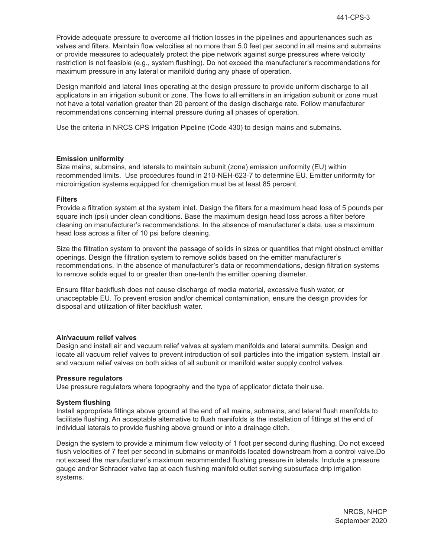Provide adequate pressure to overcome all friction losses in the pipelines and appurtenances such as valves and filters. Maintain flow velocities at no more than 5.0 feet per second in all mains and submains or provide measures to adequately protect the pipe network against surge pressures where velocity restriction is not feasible (e.g., system flushing). Do not exceed the manufacturer's recommendations for maximum pressure in any lateral or manifold during any phase of operation.

Design manifold and lateral lines operating at the design pressure to provide uniform discharge to all applicators in an irrigation subunit or zone. The flows to all emitters in an irrigation subunit or zone must not have a total variation greater than 20 percent of the design discharge rate. Follow manufacturer recommendations concerning internal pressure during all phases of operation.

Use the criteria in NRCS CPS Irrigation Pipeline (Code 430) to design mains and submains.

#### **Emission uniformity**

Size mains, submains, and laterals to maintain subunit (zone) emission uniformity (EU) within recommended limits. Use procedures found in 210-NEH-623-7 to determine EU. Emitter uniformity for microirrigation systems equipped for chemigation must be at least 85 percent.

#### **Filters**

Provide a filtration system at the system inlet. Design the filters for a maximum head loss of 5 pounds per square inch (psi) under clean conditions. Base the maximum design head loss across a filter before cleaning on manufacturer's recommendations. In the absence of manufacturer's data, use a maximum head loss across a filter of 10 psi before cleaning.

Size the filtration system to prevent the passage of solids in sizes or quantities that might obstruct emitter openings. Design the filtration system to remove solids based on the emitter manufacturer's recommendations. In the absence of manufacturer's data or recommendations, design filtration systems to remove solids equal to or greater than one-tenth the emitter opening diameter.

Ensure filter backflush does not cause discharge of media material, excessive flush water, or unacceptable EU. To prevent erosion and/or chemical contamination, ensure the design provides for disposal and utilization of filter backflush water.

#### **Air/vacuum relief valves**

Design and install air and vacuum relief valves at system manifolds and lateral summits. Design and locate all vacuum relief valves to prevent introduction of soil particles into the irrigation system. Install air and vacuum relief valves on both sides of all subunit or manifold water supply control valves.

#### **Pressure regulators**

Use pressure regulators where topography and the type of applicator dictate their use.

#### **System flushing**

Install appropriate fittings above ground at the end of all mains, submains, and lateral flush manifolds to facilitate flushing. An acceptable alternative to flush manifolds is the installation of fittings at the end of individual laterals to provide flushing above ground or into a drainage ditch.

Design the system to provide a minimum flow velocity of 1 foot per second during flushing. Do not exceed flush velocities of 7 feet per second in submains or manifolds located downstream from a control valve.Do not exceed the manufacturer's maximum recommended flushing pressure in laterals. Include a pressure gauge and/or Schrader valve tap at each flushing manifold outlet serving subsurface drip irrigation systems.

> NRCS, NHCP September 2020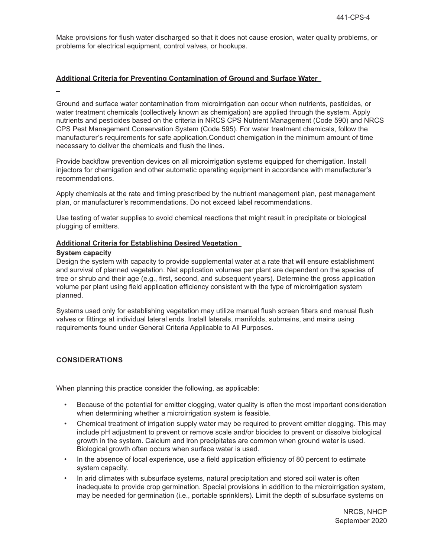Make provisions for flush water discharged so that it does not cause erosion, water quality problems, or problems for electrical equipment, control valves, or hookups.

#### **Additional Criteria for Preventing Contamination of Ground and Surface Water**

Ground and surface water contamination from microirrigation can occur when nutrients, pesticides, or water treatment chemicals (collectively known as chemigation) are applied through the system. Apply nutrients and pesticides based on the criteria in NRCS CPS Nutrient Management (Code 590) and NRCS CPS Pest Management Conservation System (Code 595). For water treatment chemicals, follow the manufacturer's requirements for safe application.Conduct chemigation in the minimum amount of time necessary to deliver the chemicals and flush the lines.

Provide backflow prevention devices on all microirrigation systems equipped for chemigation. Install injectors for chemigation and other automatic operating equipment in accordance with manufacturer's recommendations.

Apply chemicals at the rate and timing prescribed by the nutrient management plan, pest management plan, or manufacturer's recommendations. Do not exceed label recommendations.

Use testing of water supplies to avoid chemical reactions that might result in precipitate or biological plugging of emitters.

### **Additional Criteria for Establishing Desired Vegetation**

#### **System capacity**

Design the system with capacity to provide supplemental water at a rate that will ensure establishment and survival of planned vegetation. Net application volumes per plant are dependent on the species of tree or shrub and their age (e.g., first, second, and subsequent years). Determine the gross application volume per plant using field application efficiency consistent with the type of microirrigation system planned.

Systems used only for establishing vegetation may utilize manual flush screen filters and manual flush valves or fittings at individual lateral ends. Install laterals, manifolds, submains, and mains using requirements found under General Criteria Applicable to All Purposes.

## **CONSIDERATIONS**

When planning this practice consider the following, as applicable:

- Because of the potential for emitter clogging, water quality is often the most important consideration when determining whether a microirrigation system is feasible.
- Chemical treatment of irrigation supply water may be required to prevent emitter clogging. This may include pH adjustment to prevent or remove scale and/or biocides to prevent or dissolve biological growth in the system. Calcium and iron precipitates are common when ground water is used. Biological growth often occurs when surface water is used.
- In the absence of local experience, use a field application efficiency of 80 percent to estimate system capacity.
- In arid climates with subsurface systems, natural precipitation and stored soil water is often inadequate to provide crop germination. Special provisions in addition to the microirrigation system, may be needed for germination (i.e., portable sprinklers). Limit the depth of subsurface systems on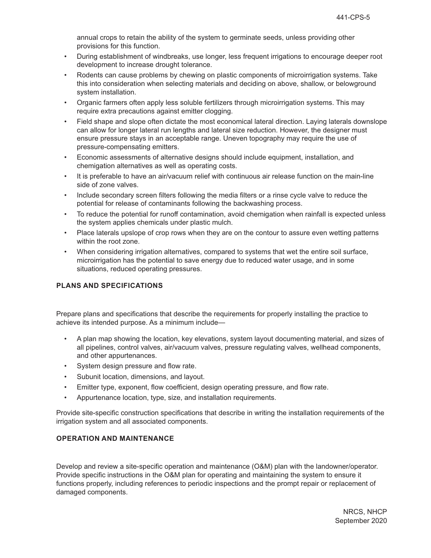annual crops to retain the ability of the system to germinate seeds, unless providing other provisions for this function.

- During establishment of windbreaks, use longer, less frequent irrigations to encourage deeper root development to increase drought tolerance.
- Rodents can cause problems by chewing on plastic components of microirrigation systems. Take this into consideration when selecting materials and deciding on above, shallow, or belowground system installation.
- Organic farmers often apply less soluble fertilizers through microirrigation systems. This may require extra precautions against emitter clogging.
- Field shape and slope often dictate the most economical lateral direction. Laying laterals downslope can allow for longer lateral run lengths and lateral size reduction. However, the designer must ensure pressure stays in an acceptable range. Uneven topography may require the use of pressure-compensating emitters.
- Economic assessments of alternative designs should include equipment, installation, and chemigation alternatives as well as operating costs.
- It is preferable to have an air/vacuum relief with continuous air release function on the main-line side of zone valves.
- Include secondary screen filters following the media filters or a rinse cycle valve to reduce the potential for release of contaminants following the backwashing process.
- To reduce the potential for runoff contamination, avoid chemigation when rainfall is expected unless the system applies chemicals under plastic mulch.
- Place laterals upslope of crop rows when they are on the contour to assure even wetting patterns within the root zone.
- When considering irrigation alternatives, compared to systems that wet the entire soil surface, microirrigation has the potential to save energy due to reduced water usage, and in some situations, reduced operating pressures.

## **PLANS AND SPECIFICATIONS**

Prepare plans and specifications that describe the requirements for properly installing the practice to achieve its intended purpose. As a minimum include—

- A plan map showing the location, key elevations, system layout documenting material, and sizes of all pipelines, control valves, air/vacuum valves, pressure regulating valves, wellhead components, and other appurtenances.
- System design pressure and flow rate.
- Subunit location, dimensions, and layout.
- Emitter type, exponent, flow coefficient, design operating pressure, and flow rate.
- Appurtenance location, type, size, and installation requirements.

Provide site-specific construction specifications that describe in writing the installation requirements of the irrigation system and all associated components.

## **OPERATION AND MAINTENANCE**

Develop and review a site-specific operation and maintenance (O&M) plan with the landowner/operator. Provide specific instructions in the O&M plan for operating and maintaining the system to ensure it functions properly, including references to periodic inspections and the prompt repair or replacement of damaged components.